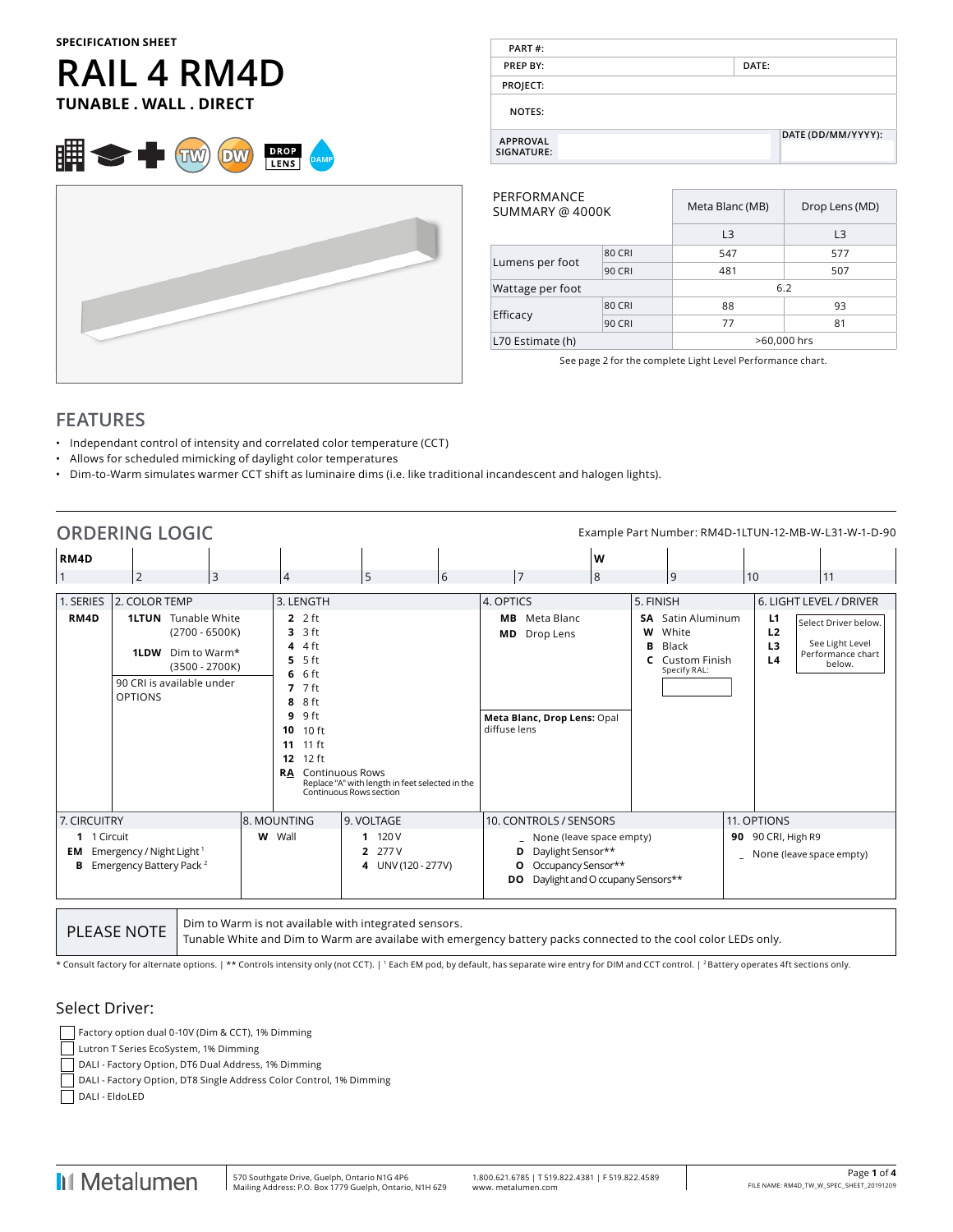#### **SPECIFICATION SHEET**

# **RAIL 4 RM4D TUNABLE . WALL . DIRECT**





| PART#:                        |                    |  |
|-------------------------------|--------------------|--|
| <b>PREP BY:</b>               | DATE:              |  |
| PROJECT:                      |                    |  |
| NOTES:                        |                    |  |
| <b>APPROVAL</b><br>SIGNATURE: | DATE (DD/MM/YYYY): |  |

| PERFORMANCE<br>SUMMARY @ 4000K |               | Meta Blanc (MB) | Drop Lens (MD) |  |  |
|--------------------------------|---------------|-----------------|----------------|--|--|
|                                |               | L <sub>3</sub>  | L <sub>3</sub> |  |  |
|                                | <b>80 CRI</b> | 547             | 577            |  |  |
| Lumens per foot                | <b>90 CRI</b> | 481             | 507            |  |  |
| Wattage per foot               |               | 6.2             |                |  |  |
|                                | <b>80 CRI</b> | 88              | 93             |  |  |
| Efficacy                       | <b>90 CRI</b> | 77              | 81             |  |  |
| L70 Estimate (h)               |               | >60,000 hrs     |                |  |  |
|                                |               |                 |                |  |  |

See page 2 for the complete Light Level Performance chart.

### **FEATURES**

- Independant control of intensity and correlated color temperature (CCT)
- Allows for scheduled mimicking of daylight color temperatures
- Dim-to-Warm simulates warmer CCT shift as luminaire dims (i.e. like traditional incandescent and halogen lights).

| <b>ORDERING LOGIC</b>  |                                                                             |                                                                                                                 |                                                                                                                                                      |                                                                                                      |                                                                                                                                |   |           |                                                                                      |                                                          | Example Part Number: RM4D-1LTUN-12-MB-W-L31-W-1-D-90                   |
|------------------------|-----------------------------------------------------------------------------|-----------------------------------------------------------------------------------------------------------------|------------------------------------------------------------------------------------------------------------------------------------------------------|------------------------------------------------------------------------------------------------------|--------------------------------------------------------------------------------------------------------------------------------|---|-----------|--------------------------------------------------------------------------------------|----------------------------------------------------------|------------------------------------------------------------------------|
| RM4D                   |                                                                             |                                                                                                                 |                                                                                                                                                      |                                                                                                      |                                                                                                                                | W |           |                                                                                      |                                                          |                                                                        |
|                        | $\overline{2}$                                                              | $\overline{3}$                                                                                                  | 4                                                                                                                                                    | 5<br>6                                                                                               | 7                                                                                                                              | 8 |           | 9                                                                                    | 10                                                       | 11                                                                     |
| 1. SERIES              | 2. COLOR TEMP                                                               |                                                                                                                 | 3. LENGTH                                                                                                                                            |                                                                                                      | 4. OPTICS                                                                                                                      |   | 5. FINISH |                                                                                      |                                                          | 6. LIGHT LEVEL / DRIVER                                                |
| RM4D                   | <b>1LDW</b><br><b>OPTIONS</b>                                               | <b>1LTUN</b> Tunable White<br>$(2700 - 6500K)$<br>Dim to Warm*<br>$(3500 - 2700K)$<br>90 CRI is available under | $2.2$ ft<br>$3.3$ ft<br>$4.4$ ft<br>$5.5$ ft<br>$6.6$ ft<br>$7.7$ ft<br>8 ft<br>8<br>9 ft<br>9<br>10 ft<br>10<br>$11$ ft<br>11<br>12 ft<br>12<br>RA. | <b>Continuous Rows</b><br>Replace "A" with length in feet selected in the<br>Continuous Rows section | Meta Blanc<br>MВ<br>Drop Lens<br>MD.<br>Meta Blanc, Drop Lens: Opal<br>diffuse lens                                            |   | W<br>в    | <b>SA</b> Satin Aluminum<br>White<br>Black<br><b>C</b> Custom Finish<br>Specify RAL: | L1<br>L <sub>2</sub><br>L <sub>3</sub><br>L <sub>4</sub> | Select Driver below.<br>See Light Level<br>Performance chart<br>below. |
| 7. CIRCUITRY           |                                                                             |                                                                                                                 | 8. MOUNTING                                                                                                                                          | 9. VOLTAGE                                                                                           | 10. CONTROLS / SENSORS                                                                                                         |   |           |                                                                                      | 11. OPTIONS                                              |                                                                        |
| 1 1 Circuit<br>EM<br>в | Emergency / Night Light <sup>1</sup><br>Emergency Battery Pack <sup>2</sup> |                                                                                                                 | W Wall                                                                                                                                               | 120 V<br>1<br>277 V<br>2<br>4 UNV (120 - 277V)                                                       | None (leave space empty)<br>Daylight Sensor**<br>D<br>Occupancy Sensor**<br>О<br>Daylight and O ccupany Sensors**<br><b>DO</b> |   |           |                                                                                      | 90 90 CRI, High R9                                       | _ None (leave space empty)                                             |

PLEASE NOTE  $\Big|$  Dim to Warm is not available with integrated sensors.

Tunable White and Dim to Warm are availabe with emergency battery packs connected to the cool color LEDs only.

\* Consult factory for alternate options. | \*\* Controls intensity only (not CCT). | 1 Each EM pod, by default, has separate wire entry for DIM and CCT control. | 2 Battery operates 4ft sections only.

#### Select Driver:

- Factory option dual 0-10V (Dim & CCT), 1% Dimming
- Lutron T Series EcoSystem, 1% Dimming
- DALI Factory Option, DT6 Dual Address, 1% Dimming
- DALI Factory Option, DT8 Single Address Color Control, 1% Dimming

DALI - EldoLED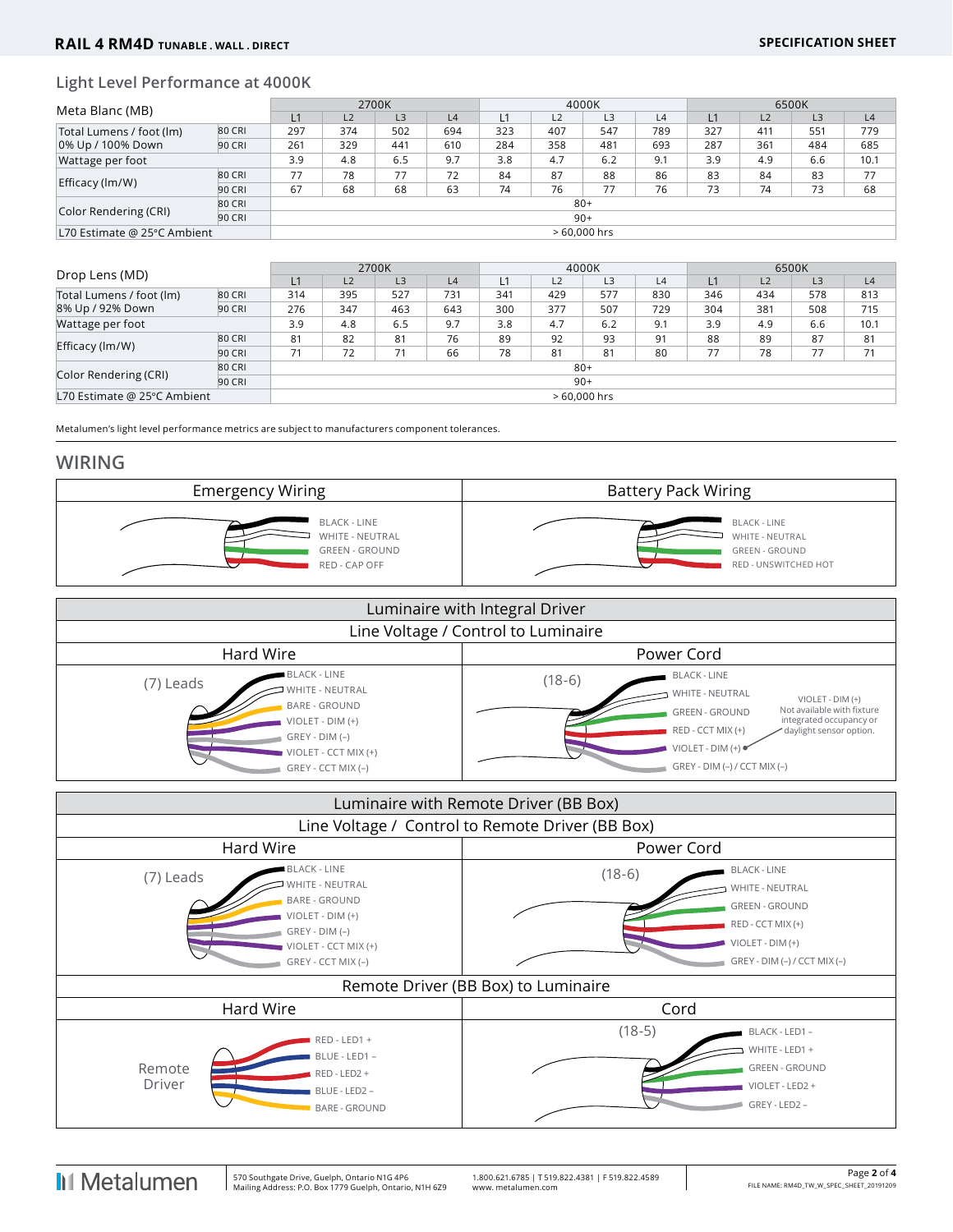#### **Light Level Performance at 4000K**

| Meta Blanc (MB)                               |               | 2700K |                |                |     | 4000K |     |       |     | 6500K |     |                |      |
|-----------------------------------------------|---------------|-------|----------------|----------------|-----|-------|-----|-------|-----|-------|-----|----------------|------|
|                                               |               | L1    | L <sub>2</sub> | L <sub>3</sub> | L4  |       | L2  | L3    | L4  | L1    | L2  | L <sub>3</sub> | L4   |
| Total Lumens / foot (lm)<br>0% Up / 100% Down | 80 CRI        | 297   | 374            | 502            | 694 | 323   | 407 | 547   | 789 | 327   | 411 | 551            | 779  |
|                                               | 90 CRI        | 261   | 329            | 441            | 610 | 284   | 358 | 481   | 693 | 287   | 361 | 484            | 685  |
| Wattage per foot                              |               | 3.9   | 4.8            | 6.5            | 9.7 | 3.8   | 4.7 | 6.2   | 9.1 | 3.9   | 4.9 | 6.6            | 10.1 |
|                                               | 80 CRI        | 77    | 78             | 77             | 72  | 84    | 87  | 88    | 86  | 83    | 84  | 83             | 77   |
| Efficacy (lm/W)                               | 90 CRI        | 67    | 68             | 68             | 63  | 74    | 76  | 77    | 76  | 73    | 74  | 73             | 68   |
|                                               | 80 CRI        | $80+$ |                |                |     |       |     |       |     |       |     |                |      |
| Color Rendering (CRI)                         | 90 CRI        |       |                |                |     |       |     | $90+$ |     |       |     |                |      |
| L70 Estimate @ 25°C Ambient                   | $>60.000$ hrs |       |                |                |     |       |     |       |     |       |     |                |      |

|                                              |               | 2700K |                |     |     | 4000K |     |     |     | 6500K |                |     |      |
|----------------------------------------------|---------------|-------|----------------|-----|-----|-------|-----|-----|-----|-------|----------------|-----|------|
| Drop Lens (MD)                               | L1            | L2    | L <sub>3</sub> | L4  |     | L2    | L3  | L4  | L1  | L2    | L <sub>3</sub> | L4  |      |
| Total Lumens / foot (lm)<br>8% Up / 92% Down | 80 CRI        | 314   | 395            | 527 | 731 | 341   | 429 | 577 | 830 | 346   | 434            | 578 | 813  |
|                                              | 90 CRI        | 276   | 347            | 463 | 643 | 300   | 377 | 507 | 729 | 304   | 381            | 508 | 715  |
| Wattage per foot                             |               | 3.9   | 4.8            | 6.5 | 9.7 | 3.8   | 4.7 | 6.2 | 9.1 | 3.9   | 4.9            | 6.6 | 10.1 |
|                                              | 80 CRI        | 81    | 82             | 81  | 76  | 89    | 92  | 93  | 91  | 88    | 89             | 87  | 81   |
| Efficacy (lm/W)                              | 90 CRI        | 71    | 72             | 71  | 66  | 78    | 81  | 81  | 80  | 77    | 78             | 77  | 71   |
| 80 CRI                                       |               | $80+$ |                |     |     |       |     |     |     |       |                |     |      |
| Color Rendering (CRI)                        | 90 CRI        | $90+$ |                |     |     |       |     |     |     |       |                |     |      |
| L70 Estimate @ 25°C Ambient                  | $>60.000$ hrs |       |                |     |     |       |     |     |     |       |                |     |      |

Metalumen's light level performance metrics are subject to manufacturers component tolerances.

#### **WIRING**



| Luminaire with Integral Driver                                                                                                                                      |                                                                                                                                                                                                                                                                  |  |  |  |  |  |  |  |
|---------------------------------------------------------------------------------------------------------------------------------------------------------------------|------------------------------------------------------------------------------------------------------------------------------------------------------------------------------------------------------------------------------------------------------------------|--|--|--|--|--|--|--|
| Line Voltage / Control to Luminaire                                                                                                                                 |                                                                                                                                                                                                                                                                  |  |  |  |  |  |  |  |
| Hard Wire<br>Power Cord                                                                                                                                             |                                                                                                                                                                                                                                                                  |  |  |  |  |  |  |  |
| <b>BLACK - LINE</b><br>(7) Leads<br>WHITE - NEUTRAL<br><b>BARE - GROUND</b><br>$VIOLET - DIM (+)$<br>$GREV - DIM (-)$<br>VIOLET - CCT MIX (+)<br>GREY - CCT MIX (-) | <b>BLACK - LINE</b><br>$(18-6)$<br>WHITE - NEUTRAL<br>VIOLET - DIM (+)<br>Not available with fixture<br><b>GREEN - GROUND</b><br>integrated occupancy or<br>RED - CCT MIX (+)<br>daylight sensor option.<br>$VIOLET - DIM (+)$<br>$GREV - DIM (-) / CCT MIX (-)$ |  |  |  |  |  |  |  |

|                                                  | Luminaire with Remote Driver (BB Box)                                                                                                                       |                                     |                                                                                                                                            |  |  |  |  |  |  |
|--------------------------------------------------|-------------------------------------------------------------------------------------------------------------------------------------------------------------|-------------------------------------|--------------------------------------------------------------------------------------------------------------------------------------------|--|--|--|--|--|--|
| Line Voltage / Control to Remote Driver (BB Box) |                                                                                                                                                             |                                     |                                                                                                                                            |  |  |  |  |  |  |
|                                                  | Hard Wire                                                                                                                                                   | Power Cord                          |                                                                                                                                            |  |  |  |  |  |  |
| (7) Leads                                        | <b>BLACK - LINE</b><br><b>WHITE - NEUTRAL</b><br><b>BARE - GROUND</b><br>VIOLET - DIM (+)<br>$GREV - DIM (-)$<br>VIOLET - CCT MIX (+)<br>GREY - CCT MIX (-) | $(18-6)$                            | <b>BLACK - LINE</b><br>WHITE - NEUTRAL<br><b>GREEN - GROUND</b><br>RED - CCT MIX (+)<br>VIOLET - DIM (+)<br>$GREV - DIM (-) / CCT MIX (-)$ |  |  |  |  |  |  |
|                                                  |                                                                                                                                                             | Remote Driver (BB Box) to Luminaire |                                                                                                                                            |  |  |  |  |  |  |
|                                                  | Hard Wire                                                                                                                                                   | Cord                                |                                                                                                                                            |  |  |  |  |  |  |
| Remote<br>Driver                                 | RED - LED1 +<br>BLUE - LED1 -<br>RED - LED2 +<br>BLUE - LED2 -<br><b>BARE - GROUND</b>                                                                      | $(18-5)$                            | BLACK - LED1 -<br>WHITE - LED1 +<br><b>GREEN - GROUND</b><br>VIOLET - LED2 +<br>GREY - LED2 -                                              |  |  |  |  |  |  |

**I**I Metalumen

 $\overline{\phantom{a}}$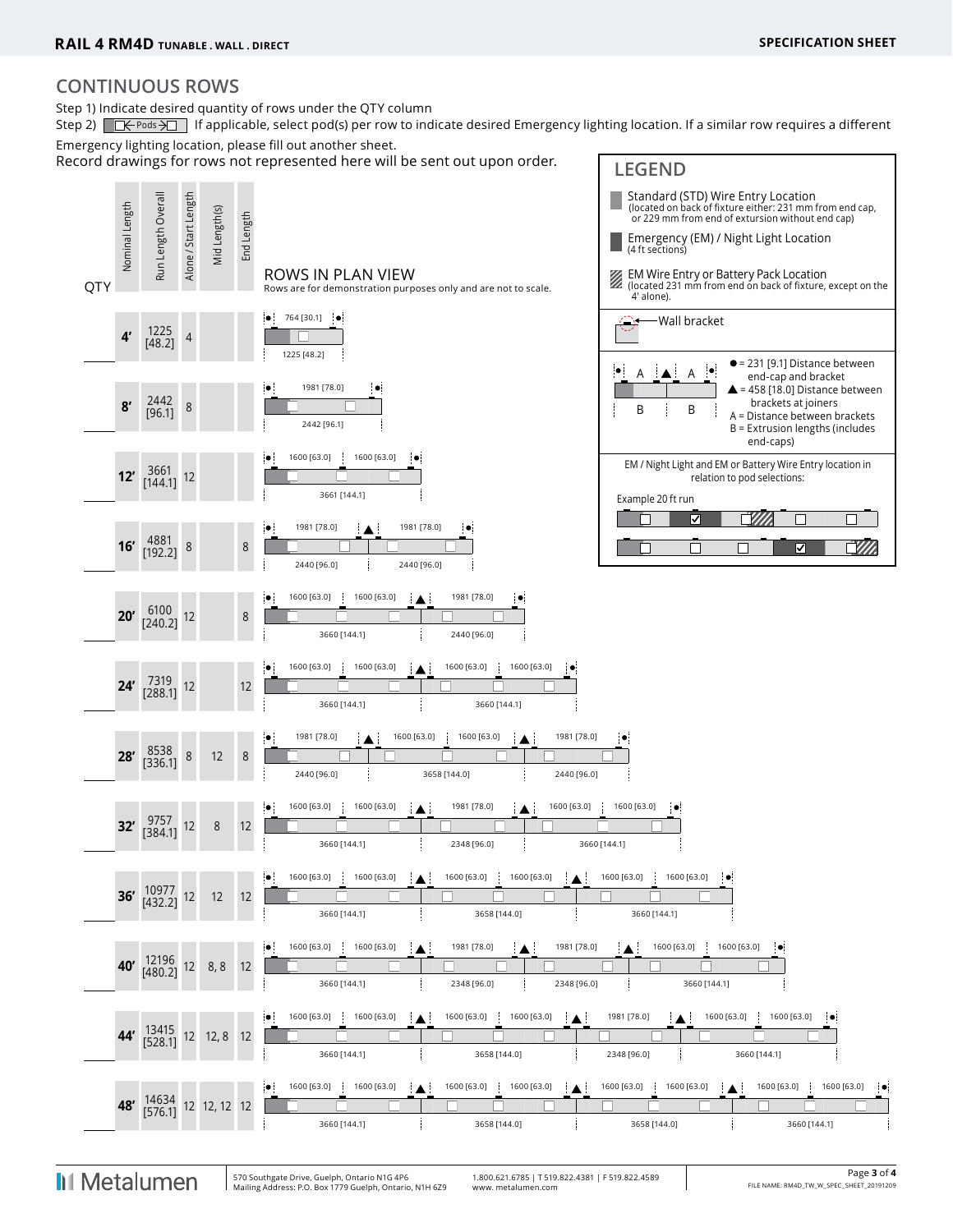## **CONTINUOUS ROWS**

Step 1) Indicate desired quantity of rows under the QTY column

Step 2)  $\Box \leftrightarrow$  Pods  $\rightarrow \Box$  If applicable, select pod(s) per row to indicate desired Emergency lighting location. If a similar row requires a different Emergency lighting location, please fill out another sheet.

Record drawings for rows not represented here will be sent out upon order. **LEGEND** 



**I**I Metalumen